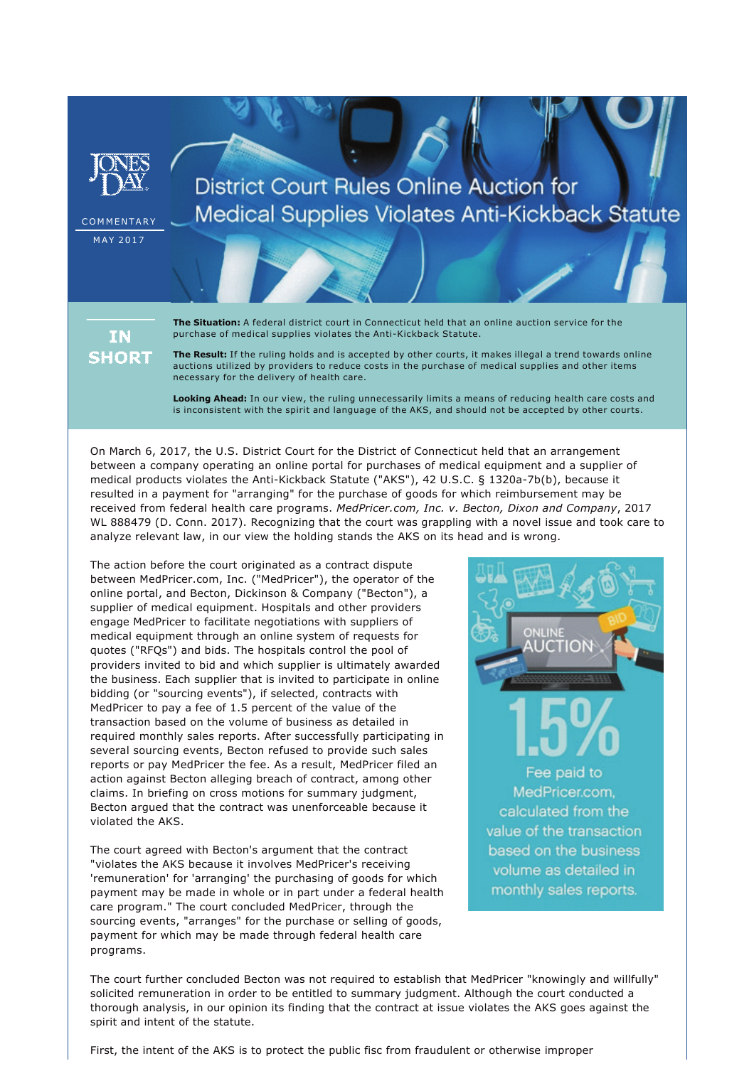

# **District Court Rules Online Auction for Medical Supplies Violates Anti-Kickback Statute**

**COMMENTARY** M A Y 2017

> ΙN **SHORT**

**The Situation:** A federal district court in Connecticut held that an online auction service for the purchase of medical supplies violates the Anti-Kickback Statute.

**The Result:** If the ruling holds and is accepted by other courts, it makes illegal a trend towards online auctions utilized by providers to reduce costs in the purchase of medical supplies and other items necessary for the delivery of health care.

**Looking Ahead:** In our view, the ruling unnecessarily limits a means of reducing health care costs and is inconsistent with the spirit and language of the AKS, and should not be accepted by other courts.

On March 6, 2017, the U.S. District Court for the District of Connecticut held that an arrangement between a company operating an online portal for purchases of medical equipment and a supplier of medical products violates the Anti-Kickback Statute ("AKS"), 42 U.S.C. § 1320a-7b(b), because it resulted in a payment for "arranging" for the purchase of goods for which reimbursement may be received from federal health care programs. *MedPricer.com, Inc. v. Becton, Dixon and Company*, 2017 WL 888479 (D. Conn. 2017). Recognizing that the court was grappling with a novel issue and took care to analyze relevant law, in our view the holding stands the AKS on its head and is wrong.

The action before the court originated as a contract dispute between MedPricer.com, Inc. ("MedPricer"), the operator of the online portal, and Becton, Dickinson & Company ("Becton"), a supplier of medical equipment. Hospitals and other providers engage MedPricer to facilitate negotiations with suppliers of medical equipment through an online system of requests for quotes ("RFQs") and bids. The hospitals control the pool of providers invited to bid and which supplier is ultimately awarded the business. Each supplier that is invited to participate in online bidding (or "sourcing events"), if selected, contracts with MedPricer to pay a fee of 1.5 percent of the value of the transaction based on the volume of business as detailed in required monthly sales reports. After successfully participating in several sourcing events, Becton refused to provide such sales reports or pay MedPricer the fee. As a result, MedPricer filed an action against Becton alleging breach of contract, among other claims. In briefing on cross motions for summary judgment, Becton argued that the contract was unenforceable because it violated the AKS.

The court agreed with Becton's argument that the contract "violates the AKS because it involves MedPricer's receiving 'remuneration' for 'arranging' the purchasing of goods for which payment may be made in whole or in part under a federal health care program." The court concluded MedPricer, through the sourcing events, "arranges" for the purchase or selling of goods, payment for which may be made through federal health care programs.



The court further concluded Becton was not required to establish that MedPricer "knowingly and willfully" solicited remuneration in order to be entitled to summary judgment. Although the court conducted a thorough analysis, in our opinion its finding that the contract at issue violates the AKS goes against the spirit and intent of the statute.

First, the intent of the AKS is to protect the public fisc from fraudulent or otherwise improper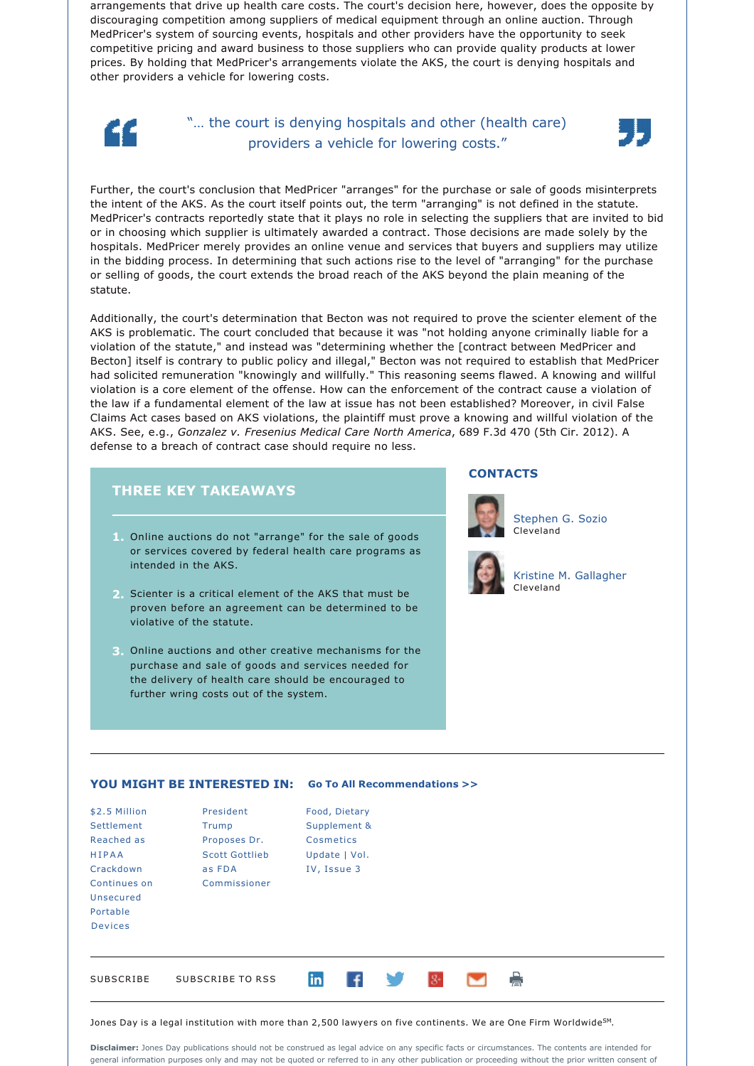arrangements that drive up health care costs. The court's decision here, however, does the opposite by discouraging competition among suppliers of medical equipment through an online auction. Through MedPricer's system of sourcing events, hospitals and other providers have the opportunity to seek competitive pricing and award business to those suppliers who can provide quality products at lower prices. By holding that MedPricer's arrangements violate the AKS, the court is denying hospitals and other providers a vehicle for lowering costs.



## "… the court is denying hospitals and other (health care) providers a vehicle for lowering costs."



Further, the court's conclusion that MedPricer "arranges" for the purchase or sale of goods misinterprets the intent of the AKS. As the court itself points out, the term "arranging" is not defined in the statute. MedPricer's contracts reportedly state that it plays no role in selecting the suppliers that are invited to bid or in choosing which supplier is ultimately awarded a contract. Those decisions are made solely by the hospitals. MedPricer merely provides an online venue and services that buyers and suppliers may utilize in the bidding process. In determining that such actions rise to the level of "arranging" for the purchase or selling of goods, the court extends the broad reach of the AKS beyond the plain meaning of the statute.

Additionally, the court's determination that Becton was not required to prove the scienter element of the AKS is problematic. The court concluded that because it was "not holding anyone criminally liable for a violation of the statute," and instead was "determining whether the [contract between MedPricer and Becton] itself is contrary to public policy and illegal," Becton was not required to establish that MedPricer had solicited remuneration "knowingly and willfully." This reasoning seems flawed. A knowing and willful violation is a core element of the offense. How can the enforcement of the contract cause a violation of the law if a fundamental element of the law at issue has not been established? Moreover, in civil False Claims Act cases based on AKS violations, the plaintiff must prove a knowing and willful violation of the AKS. See, e.g., *Gonzalez v. Fresenius Medical Care North America*, 689 F.3d 470 (5th Cir. 2012). A defense to a breach of contract case should require no less.

### **THREE KEY TAKEAWAYS**

- **1.** Online auctions do not "arrange" for the sale of goods or services covered by federal health care programs as intended in the AKS.
- **2.** Scienter is a critical element of the AKS that must be proven before an agreement can be determined to be violative of the statute.
- **3.** Online auctions and other creative mechanisms for the purchase and sale of goods and services needed for the delivery of health care should be encouraged to further wring costs out of the system.

#### **CONTACTS**



[Stephen G. Sozio](http://jonesday.com/sgsozio) Cleveland



[Kristine M. Gallagher](http://jonesday.com/kgallagher/) Cleveland

#### **YOU MIGHT BE INTERESTED IN: [Go To All Recommendations >>](http://jonesday.com/Health-Care-Practices/?section=Publications)**

| \$2.5 Million<br>Settlement<br>Reached as<br><b>HIPAA</b><br>Crackdown<br>Continues on<br>Unsecured<br>Portable<br><b>Devices</b> | President<br>Trump<br>Proposes Dr.<br><b>Scott Gottlieb</b><br>as FDA<br>Commissioner | Cosmetics | Food, Dietary<br>Supplement &<br>Update   Vol.<br>IV, Issue 3 |              |  |   |  |  |
|-----------------------------------------------------------------------------------------------------------------------------------|---------------------------------------------------------------------------------------|-----------|---------------------------------------------------------------|--------------|--|---|--|--|
| SUBSCRIBE                                                                                                                         | SUBSCRIBE TO RSS                                                                      | in        | l f                                                           | <b>START</b> |  | 膏 |  |  |

Jones Day is a legal institution with more than 2,500 lawyers on five continents. We are One Firm Worldwide $^{\text{SM}}$ .

**Disclaimer:** Jones Day publications should not be construed as legal advice on any specific facts or circumstances. The contents are intended for general information purposes only and may not be quoted or referred to in any other publication or proceeding without the prior written consent of